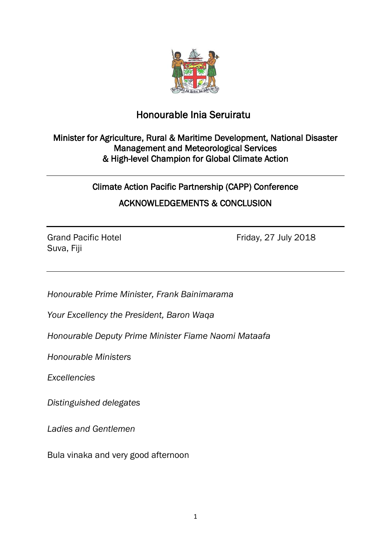

## Honourable Inia Seruiratu

## Minister for Agriculture, Rural & Maritime Development, National Disaster Management and Meteorological Services & High-level Champion for Global Climate Action

Climate Action Pacific Partnership (CAPP) Conference ACKNOWLEDGEMENTS & CONCLUSION

Suva, Fiji

Grand Pacific Hotel **Friday**, 27 July 2018

*Honourable Prime Minister, Frank Bainimarama*

*Your Excellency the President, Baron Waqa*

*Honourable Deputy Prime Minister Fiame Naomi Mataafa*

*Honourable Ministers*

*Excellencies*

*Distinguished delegates*

*Ladies and Gentlemen*

Bula vinaka and very good afternoon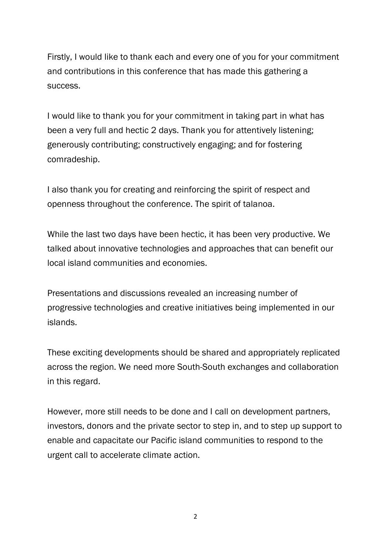Firstly, I would like to thank each and every one of you for your commitment and contributions in this conference that has made this gathering a success.

I would like to thank you for your commitment in taking part in what has been a very full and hectic 2 days. Thank you for attentively listening; generously contributing; constructively engaging; and for fostering comradeship.

I also thank you for creating and reinforcing the spirit of respect and openness throughout the conference. The spirit of talanoa.

While the last two days have been hectic, it has been very productive. We talked about innovative technologies and approaches that can benefit our local island communities and economies.

Presentations and discussions revealed an increasing number of progressive technologies and creative initiatives being implemented in our islands.

These exciting developments should be shared and appropriately replicated across the region. We need more South-South exchanges and collaboration in this regard.

However, more still needs to be done and I call on development partners, investors, donors and the private sector to step in, and to step up support to enable and capacitate our Pacific island communities to respond to the urgent call to accelerate climate action.

2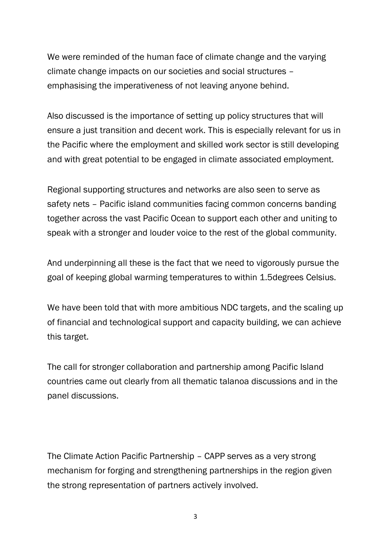We were reminded of the human face of climate change and the varying climate change impacts on our societies and social structures – emphasising the imperativeness of not leaving anyone behind.

Also discussed is the importance of setting up policy structures that will ensure a just transition and decent work. This is especially relevant for us in the Pacific where the employment and skilled work sector is still developing and with great potential to be engaged in climate associated employment.

Regional supporting structures and networks are also seen to serve as safety nets – Pacific island communities facing common concerns banding together across the vast Pacific Ocean to support each other and uniting to speak with a stronger and louder voice to the rest of the global community.

And underpinning all these is the fact that we need to vigorously pursue the goal of keeping global warming temperatures to within 1.5degrees Celsius.

We have been told that with more ambitious NDC targets, and the scaling up of financial and technological support and capacity building, we can achieve this target.

The call for stronger collaboration and partnership among Pacific Island countries came out clearly from all thematic talanoa discussions and in the panel discussions.

The Climate Action Pacific Partnership – CAPP serves as a very strong mechanism for forging and strengthening partnerships in the region given the strong representation of partners actively involved.